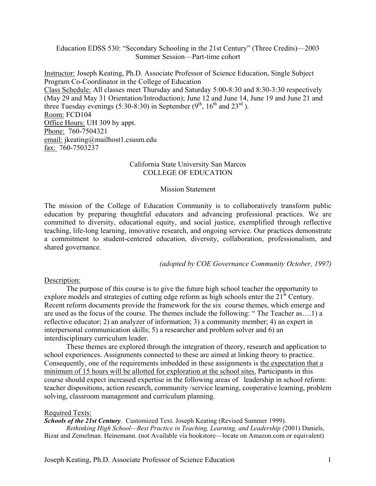Education EDSS 530: "Secondary Schooling in the 21st Century" (Three Credits)—2003 Summer Session—Part-time cohort

Instructor: Joseph Keating, Ph.D. Associate Professor of Science Education, Single Subject Program Co-Coordinator in the College of Education Class Schedule: All classes meet Thursday and Saturday 5:00-8:30 and 8:30-3:30 respectively (May 29 and May 31 Orientation/Introduction); June 12 and June 14, June 19 and June 21 and three Tuesday evenings (5:30-8:30) in September  $(9<sup>th</sup>, 16<sup>th</sup>$  and  $23<sup>rd</sup>$ ). Room: FCD104 Office Hours: UH 309 by appt. Phone: 760-7504321 email: jkeating@mailhost1.csusm.edu fax: 760-7503237

#### California State University San Marcos COLLEGE OF EDUCATION

#### Mission Statement

The mission of the College of Education Community is to collaboratively transform public education by preparing thoughtful educators and advancing professional practices. We are committed to diversity, educational equity, and social justice, exemplified through reflective teaching, life-long learning, innovative research, and ongoing service. Our practices demonstrate a commitment to student-centered education, diversity, collaboration, professionalism, and shared governance.

*(adopted by COE Governance Community October, 1997)*

#### Description:

The purpose of this course is to give the future high school teacher the opportunity to explore models and strategies of cutting edge reform as high schools enter the 21<sup>st</sup> Century. Recent reform documents provide the framework for the six course themes, which emerge and are used as the focus of the course. The themes include the following: " The Teacher as….1) a reflective educator; 2) an analyzer of information; 3) a community member; 4) an expert in interpersonal communication skills; 5) a researcher and problem solver and 6) an interdisciplinary curriculum leader.

These themes are explored through the integration of theory, research and application to school experiences. Assignments connected to these are aimed at linking theory to practice. Consequently, one of the requirements imbedded in these assignments is the expectation that a minimum of 15 hours will be allotted for exploration at the school sites. Participants in this course should expect increased expertise in the following areas of leadership in school reform: teacher dispositions, action research, community /service learning, cooperative learning, problem solving, classroom management and curriculum planning.

#### Required Texts:

*Schools of the 21st Century*. Customized Text. Joseph Keating (Revised Summer 1999).

*Rethinking High School—Best Practice in Teaching, Learning, and Leadership (*2001) Daniels, Bizar and Zemelman. Heinemann. (not Available via bookstore—locate on Amazon.com or equivalent)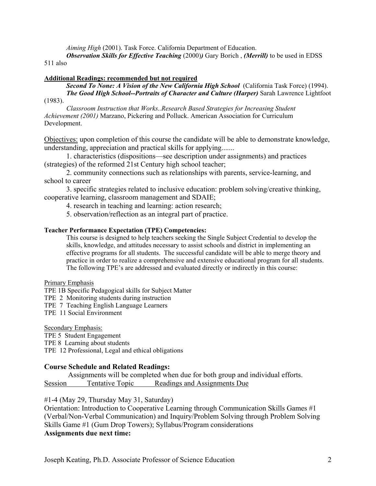*Aiming High* (2001). Task Force. California Department of Education.

*Observation Skills for Effective Teaching (2000))* Gary Borich, *(Merrill)* to be used in EDSS 511 also

#### **Additional Readings: recommended but not required**

*Second To None: A Vision of the New California High School* (California Task Force) (1994). *The Good High School--Portraits of Character and Culture (Harper)* Sarah Lawrence Lightfoot

# (1983).

*Classroom Instruction that Works..Research Based Strategies for Increasing Student Achievement (2001)* Marzano, Pickering and Polluck. American Association for Curriculum Development.

Objectives: upon completion of this course the candidate will be able to demonstrate knowledge, understanding, appreciation and practical skills for applying.......

1. characteristics (dispositions—see description under assignments) and practices (strategies) of the reformed 21st Century high school teacher;

2. community connections such as relationships with parents, service-learning, and school to career

3. specific strategies related to inclusive education: problem solving/creative thinking, cooperative learning, classroom management and SDAIE;

4. research in teaching and learning: action research;

5. observation/reflection as an integral part of practice.

#### **Teacher Performance Expectation (TPE) Competencies:**

This course is designed to help teachers seeking the Single Subject Credential to develop the skills, knowledge, and attitudes necessary to assist schools and district in implementing an effective programs for all students. The successful candidate will be able to merge theory and practice in order to realize a comprehensive and extensive educational program for all students. The following TPE's are addressed and evaluated directly or indirectly in this course:

Primary Emphasis

TPE 1B Specific Pedagogical skills for Subject Matter

- TPE 2 Monitoring students during instruction
- TPE 7 Teaching English Language Learners
- TPE 11 Social Environment

Secondary Emphasis:

TPE 5 Student Engagement

TPE 8 Learning about students

TPE 12 Professional, Legal and ethical obligations

#### **Course Schedule and Related Readings:**

 Assignments will be completed when due for both group and individual efforts. Session Tentative Topic Readings and Assignments Due

#1-4 (May 29, Thursday May 31, Saturday)

Orientation: Introduction to Cooperative Learning through Communication Skills Games #1 (Verbal/Non-Verbal Communication) and Inquiry/Problem Solving through Problem Solving Skills Game #1 (Gum Drop Towers); Syllabus/Program considerations **Assignments due next time:**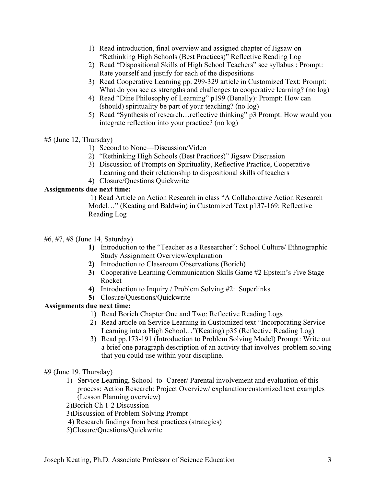- 1) Read introduction, final overview and assigned chapter of Jigsaw on "Rethinking High Schools (Best Practices)" Reflective Reading Log
- 2) Read "Dispositional Skills of High School Teachers" see syllabus : Prompt: Rate yourself and justify for each of the dispositions
- 3) Read Cooperative Learning pp. 299-329 article in Customized Text: Prompt: What do you see as strengths and challenges to cooperative learning? (no log)
- 4) Read "Dine Philosophy of Learning" p199 (Benally): Prompt: How can (should) spirituality be part of your teaching? (no log)
- 5) Read "Synthesis of research…reflective thinking" p3 Prompt: How would you integrate reflection into your practice? (no log)

# #5 (June 12, Thursday)

- 1) Second to None—Discussion/Video
- 2) "Rethinking High Schools (Best Practices)" Jigsaw Discussion
- 3) Discussion of Prompts on Spirituality, Reflective Practice, Cooperative Learning and their relationship to dispositional skills of teachers
- 4) Closure/Questions Quickwrite

# **Assignments due next time:**

 1) Read Article on Action Research in class "A Collaborative Action Research Model…" (Keating and Baldwin) in Customized Text p137-169: Reflective Reading Log

# #6, #7, #8 (June 14, Saturday)

- **1)** Introduction to the "Teacher as a Researcher": School Culture/ Ethnographic Study Assignment Overview/explanation
- **2)** Introduction to Classroom Observations (Borich)
- **3)** Cooperative Learning Communication Skills Game #2 Epstein's Five Stage Rocket
- **4)** Introduction to Inquiry / Problem Solving #2: Superlinks
- **5)** Closure/Questions/Quickwrite

# **Assignments due next time:**

- 1) Read Borich Chapter One and Two: Reflective Reading Logs
- 2) Read article on Service Learning in Customized text "Incorporating Service Learning into a High School…"(Keating) p35 (Reflective Reading Log)
- 3) Read pp.173-191 (Introduction to Problem Solving Model) Prompt: Write out a brief one paragraph description of an activity that involves problem solving that you could use within your discipline.

# #9 (June 19, Thursday)

1) Service Learning, School- to- Career/ Parental involvement and evaluation of this process: Action Research: Project Overview/ explanation/customized text examples (Lesson Planning overview)

2)Borich Ch 1-2 Discussion

- 3)Discussion of Problem Solving Prompt
- 4) Research findings from best practices (strategies)
- 5)Closure/Questions/Quickwrite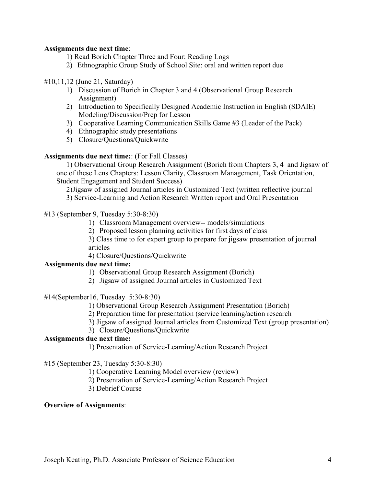## **Assignments due next time**:

- 1) Read Borich Chapter Three and Four: Reading Logs
- 2) Ethnographic Group Study of School Site: oral and written report due

## #10,11,12 (June 21, Saturday)

- 1) Discussion of Borich in Chapter 3 and 4 (Observational Group Research Assignment)
- 2) Introduction to Specifically Designed Academic Instruction in English (SDAIE)— Modeling/Discussion/Prep for Lesson
- 3) Cooperative Learning Communication Skills Game #3 (Leader of the Pack)
- 4) Ethnographic study presentations
- 5) Closure/Questions/Quickwrite

## **Assignments due next time:**: (For Fall Classes)

1) Observational Group Research Assignment (Borich from Chapters 3, 4 and Jigsaw of one of these Lens Chapters: Lesson Clarity, Classroom Management, Task Orientation, Student Engagement and Student Success)

2)Jigsaw of assigned Journal articles in Customized Text (written reflective journal

3) Service-Learning and Action Research Written report and Oral Presentation

#13 (September 9, Tuesday 5:30-8:30)

1) Classroom Management overview-- models/simulations

2) Proposed lesson planning activities for first days of class

3) Class time to for expert group to prepare for jigsaw presentation of journal articles

4) Closure/Questions/Quickwrite

# **Assignments due next time:**

- 1) Observational Group Research Assignment (Borich)
- 2) Jigsaw of assigned Journal articles in Customized Text

#14(September16, Tuesday 5:30-8:30)

1) Observational Group Research Assignment Presentation (Borich)

2) Preparation time for presentation (service learning/action research

3) Jigsaw of assigned Journal articles from Customized Text (group presentation)

3) Closure/Questions/Quickwrite

## **Assignments due next time:**

1) Presentation of Service-Learning/Action Research Project

#15 (September 23, Tuesday 5:30-8:30)

1) Cooperative Learning Model overview (review)

- 2) Presentation of Service-Learning/Action Research Project
- 3) Debrief Course

# **Overview of Assignments**: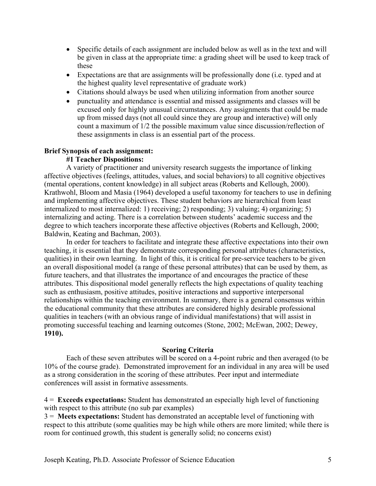- Specific details of each assignment are included below as well as in the text and will be given in class at the appropriate time: a grading sheet will be used to keep track of these
- Expectations are that are assignments will be professionally done (i.e. typed and at the highest quality level representative of graduate work)
- Citations should always be used when utilizing information from another source
- punctuality and attendance is essential and missed assignments and classes will be excused only for highly unusual circumstances. Any assignments that could be made up from missed days (not all could since they are group and interactive) will only count a maximum of 1/2 the possible maximum value since discussion/reflection of these assignments in class is an essential part of the process.

## **Brief Synopsis of each assignment:**

#### **#1 Teacher Dispositions:**

A variety of practitioner and university research suggests the importance of linking affective objectives (feelings, attitudes, values, and social behaviors) to all cognitive objectives (mental operations, content knowledge) in all subject areas (Roberts and Kellough, 2000). Krathwohl, Bloom and Masia (1964) developed a useful taxonomy for teachers to use in defining and implementing affective objectives. These student behaviors are hierarchical from least internalized to most internalized: 1) receiving; 2) responding; 3) valuing; 4) organizing; 5) internalizing and acting. There is a correlation between students' academic success and the degree to which teachers incorporate these affective objectives (Roberts and Kellough, 2000; Baldwin, Keating and Bachman, 2003).

In order for teachers to facilitate and integrate these affective expectations into their own teaching, it is essential that they demonstrate corresponding personal attributes (characteristics, qualities) in their own learning. In light of this, it is critical for pre-service teachers to be given an overall dispositional model (a range of these personal attributes) that can be used by them, as future teachers, and that illustrates the importance of and encourages the practice of these attributes. This dispositional model generally reflects the high expectations of quality teaching such as enthusiasm, positive attitudes, positive interactions and supportive interpersonal relationships within the teaching environment. In summary, there is a general consensus within the educational community that these attributes are considered highly desirable professional qualities in teachers (with an obvious range of individual manifestations) that will assist in promoting successful teaching and learning outcomes (Stone, 2002; McEwan, 2002; Dewey, **1910).** 

#### **Scoring Criteria**

Each of these seven attributes will be scored on a 4-point rubric and then averaged (to be 10% of the course grade). Demonstrated improvement for an individual in any area will be used as a strong consideration in the scoring of these attributes. Peer input and intermediate conferences will assist in formative assessments.

4 = **Exceeds expectations:** Student has demonstrated an especially high level of functioning with respect to this attribute (no sub par examples)

3 = **Meets expectations:** Student has demonstrated an acceptable level of functioning with respect to this attribute (some qualities may be high while others are more limited; while there is room for continued growth, this student is generally solid; no concerns exist)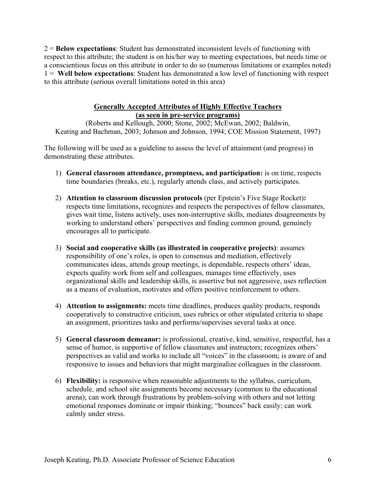2 = **Below expectations**: Student has demonstrated inconsistent levels of functioning with respect to this attribute; the student is on his/her way to meeting expectations, but needs time or a conscientious focus on this attribute in order to do so (numerous limitations or examples noted) 1 = **Well below expectations**: Student has demonstrated a low level of functioning with respect to this attribute (serious overall limitations noted in this area)

## **Generally Accepted Attributes of Highly Effective Teachers (as seen in pre-service programs)**

(Roberts and Kellough, 2000; Stone, 2002; McEwan, 2002; Baldwin, Keating and Bachman, 2003; Johnson and Johnson, 1994; COE Mission Statement, 1997)

The following will be used as a guideline to assess the level of attainment (and progress) in demonstrating these attributes.

- 1) **General classroom attendance, promptness, and participation:** is on time, respects time boundaries (breaks, etc.), regularly attends class, and actively participates.
- 2) **Attention to classroom discussion protocols** (per Epstein's Five Stage Rocket)**:** respects time limitations, recognizes and respects the perspectives of fellow classmates, gives wait time, listens actively, uses non-interruptive skills, mediates disagreements by working to understand others' perspectives and finding common ground, genuinely encourages all to participate.
- 3) **Social and cooperative skills (as illustrated in cooperative projects)**: assumes responsibility of one's roles, is open to consensus and mediation, effectively communicates ideas, attends group meetings, is dependable, respects others' ideas, expects quality work from self and colleagues, manages time effectively, uses organizational skills and leadership skills, is assertive but not aggressive, uses reflection as a means of evaluation, motivates and offers positive reinforcement to others.
- 4) **Attention to assignments:** meets time deadlines, produces quality products, responds cooperatively to constructive criticism, uses rubrics or other stipulated criteria to shape an assignment, prioritizes tasks and performs/supervises several tasks at once.
- 5) **General classroom demeanor:** is professional, creative, kind, sensitive, respectful, has a sense of humor, is supportive of fellow classmates and instructors; recognizes others' perspectives as valid and works to include all "voices" in the classroom; is aware of and responsive to issues and behaviors that might marginalize colleagues in the classroom.
- 6) **Flexibility:** is responsive when reasonable adjustments to the syllabus, curriculum, schedule, and school site assignments become necessary (common to the educational arena); can work through frustrations by problem-solving with others and not letting emotional responses dominate or impair thinking; "bounces" back easily; can work calmly under stress.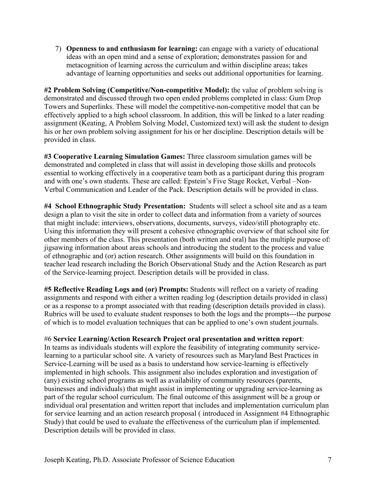7) **Openness to and enthusiasm for learning:** can engage with a variety of educational ideas with an open mind and a sense of exploration; demonstrates passion for and metacognition of learning across the curriculum and within discipline areas; takes advantage of learning opportunities and seeks out additional opportunities for learning.

**#2 Problem Solving (Competitive/Non-competitive Model):** the value of problem solving is demonstrated and discussed through two open ended problems completed in class: Gum Drop Towers and Superlinks. These will model the competitive-non-competitive model that can be effectively applied to a high school classroom. In addition, this will be linked to a later reading assignment (Keating, A Problem Solving Model, Customized text) will ask the student to design his or her own problem solving assignment for his or her discipline. Description details will be provided in class.

**#3 Cooperative Learning Simulation Games:** Three classroom simulation games will be demonstrated and completed in class that will assist in developing those skills and protocols essential to working effectively in a cooperative team both as a participant during this program and with one's own students. These are called: Epstein's Five Stage Rocket, Verbal –Non-Verbal Communication and Leader of the Pack. Description details will be provided in class.

**#4 School Ethnographic Study Presentation:** Students will select a school site and as a team design a plan to visit the site in order to collect data and information from a variety of sources that might include: interviews, observations, documents, surveys, video/still photography etc. Using this information they will present a cohesive ethnographic overview of that school site for other members of the class. This presentation (both written and oral) has the multiple purpose of: jigsawing information about areas schools and introducing the student to the process and value of ethnographic and (or) action research. Other assignments will build on this foundation in teacher lead research including the Borich Observational Study and the Action Research as part of the Service-learning project. Description details will be provided in class.

**#5 Reflective Reading Logs and (or) Prompts:** Students will reflect on a variety of reading assignments and respond with either a written reading log (description details provided in class) or as a response to a prompt associated with that reading (description details provided in class). Rubrics will be used to evaluate student responses to both the logs and the prompts---the purpose of which is to model evaluation techniques that can be applied to one's own student journals.

## #6 **Service Learning/Action Research Project oral presentation and written report**:

In teams as individuals students will explore the feasibility of integrating community servicelearning to a particular school site. A variety of resources such as Maryland Best Practices in Service-Learning will be used as a basis to understand how service-learning is effectively implemented in high schools. This assignment also includes exploration and investigation of (any) existing school programs as well as availability of community resources (parents, businesses and individuals) that might assist in implementing or upgrading service-learning as part of the regular school curriculum. The final outcome of this assignment will be a group or individual oral presentation and written report that includes and implementation curriculum plan for service learning and an action research proposal ( introduced in Assignment #4 Ethnographic Study) that could be used to evaluate the effectiveness of the curriculum plan if implemented. Description details will be provided in class.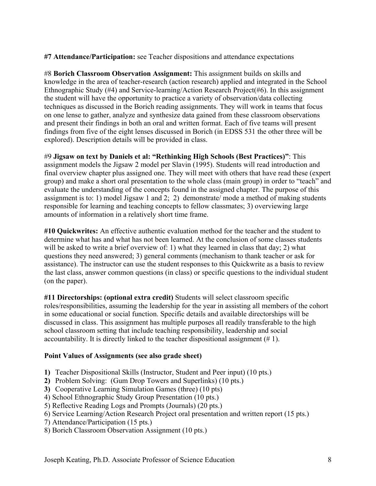**#7 Attendance/Participation:** see Teacher dispositions and attendance expectations

#8 **Borich Classroom Observation Assignment:** This assignment builds on skills and knowledge in the area of teacher-research (action research) applied and integrated in the School Ethnographic Study (#4) and Service-learning/Action Research Project(#6). In this assignment the student will have the opportunity to practice a variety of observation/data collecting techniques as discussed in the Borich reading assignments. They will work in teams that focus on one lense to gather, analyze and synthesize data gained from these classroom observations and present their findings in both an oral and written format. Each of five teams will present findings from five of the eight lenses discussed in Borich (in EDSS 531 the other three will be explored). Description details will be provided in class.

#9 **Jigsaw on text by Daniels et al: "Rethinking High Schools (Best Practices)"**: This assignment models the Jigsaw 2 model per Slavin (1995). Students will read introduction and final overview chapter plus assigned one. They will meet with others that have read these (expert group) and make a short oral presentation to the whole class (main group) in order to "teach" and evaluate the understanding of the concepts found in the assigned chapter. The purpose of this assignment is to: 1) model Jigsaw 1 and 2; 2) demonstrate/ mode a method of making students responsible for learning and teaching concepts to fellow classmates; 3) overviewing large amounts of information in a relatively short time frame.

**#10 Quickwrites:** An effective authentic evaluation method for the teacher and the student to determine what has and what has not been learned. At the conclusion of some classes students will be asked to write a brief overview of: 1) what they learned in class that day; 2) what questions they need answered; 3) general comments (mechanism to thank teacher or ask for assistance). The instructor can use the student responses to this Quickwrite as a basis to review the last class, answer common questions (in class) or specific questions to the individual student (on the paper).

**#11 Directorships: (optional extra credit)** Students will select classroom specific roles/responsibilities, assuming the leadership for the year in assisting all members of the cohort in some educational or social function. Specific details and available directorships will be discussed in class. This assignment has multiple purposes all readily transferable to the high school classroom setting that include teaching responsibility, leadership and social accountability. It is directly linked to the teacher dispositional assignment (# 1).

# **Point Values of Assignments (see also grade sheet)**

- **1)** Teacher Dispositional Skills (Instructor, Student and Peer input) (10 pts.)
- **2)** Problem Solving: (Gum Drop Towers and Superlinks) (10 pts.)
- **3)** Cooperative Learning Simulation Games (three) (10 pts)
- 4) School Ethnographic Study Group Presentation (10 pts.)
- 5) Reflective Reading Logs and Prompts (Journals) (20 pts.)
- 6) Service Learning/Action Research Project oral presentation and written report (15 pts.)
- 7) Attendance/Participation (15 pts.)
- 8) Borich Classroom Observation Assignment (10 pts.)